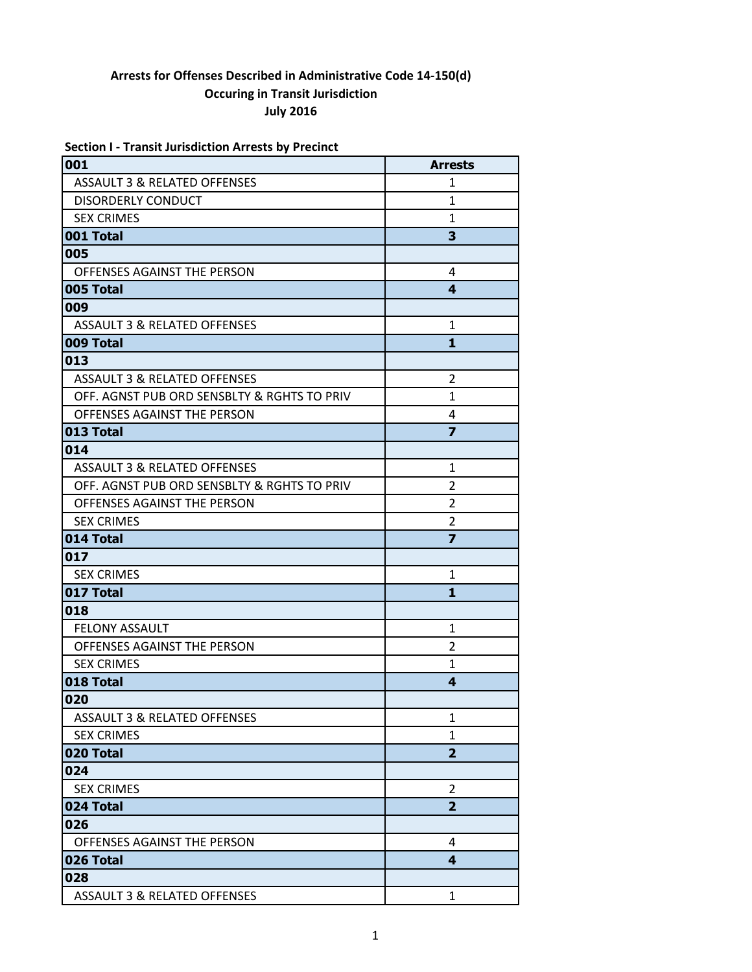|  |  | <b>Section I - Transit Jurisdiction Arrests by Precinct</b> |  |  |
|--|--|-------------------------------------------------------------|--|--|
|--|--|-------------------------------------------------------------|--|--|

| 001                                         | <b>Arrests</b>          |
|---------------------------------------------|-------------------------|
| <b>ASSAULT 3 &amp; RELATED OFFENSES</b>     | 1                       |
| <b>DISORDERLY CONDUCT</b>                   | 1                       |
| <b>SEX CRIMES</b>                           | $\mathbf{1}$            |
| 001 Total                                   | 3                       |
| 005                                         |                         |
| OFFENSES AGAINST THE PERSON                 | 4                       |
| 005 Total                                   | 4                       |
| 009                                         |                         |
| ASSAULT 3 & RELATED OFFENSES                | 1                       |
| 009 Total                                   | 1                       |
| 013                                         |                         |
| ASSAULT 3 & RELATED OFFENSES                | $\overline{2}$          |
| OFF. AGNST PUB ORD SENSBLTY & RGHTS TO PRIV | $\mathbf{1}$            |
| OFFENSES AGAINST THE PERSON                 | 4                       |
| 013 Total                                   | $\overline{\mathbf{z}}$ |
| 014                                         |                         |
| ASSAULT 3 & RELATED OFFENSES                | $\mathbf{1}$            |
| OFF. AGNST PUB ORD SENSBLTY & RGHTS TO PRIV | 2                       |
| OFFENSES AGAINST THE PERSON                 | $\overline{2}$          |
| <b>SEX CRIMES</b>                           | 2                       |
| 014 Total                                   | $\overline{z}$          |
| 017                                         |                         |
| <b>SEX CRIMES</b>                           | 1                       |
| 017 Total                                   | 1                       |
| 018                                         |                         |
| <b>FELONY ASSAULT</b>                       | 1                       |
| OFFENSES AGAINST THE PERSON                 | $\overline{2}$          |
| <b>SEX CRIMES</b>                           | 1                       |
| 018 Total                                   | $\overline{\mathbf{A}}$ |
| 020                                         |                         |
| <b>ASSAULT 3 &amp; RELATED OFFENSES</b>     | $\mathbf{1}$            |
| <b>SEX CRIMES</b>                           | $\mathbf{1}$            |
| 020 Total                                   | $\overline{\mathbf{2}}$ |
| 024                                         |                         |
| <b>SEX CRIMES</b>                           | $\overline{2}$          |
| 024 Total                                   | $\overline{2}$          |
| 026                                         |                         |
| OFFENSES AGAINST THE PERSON                 | 4                       |
| 026 Total                                   | 4                       |
| 028                                         |                         |
| <b>ASSAULT 3 &amp; RELATED OFFENSES</b>     | $\mathbf{1}$            |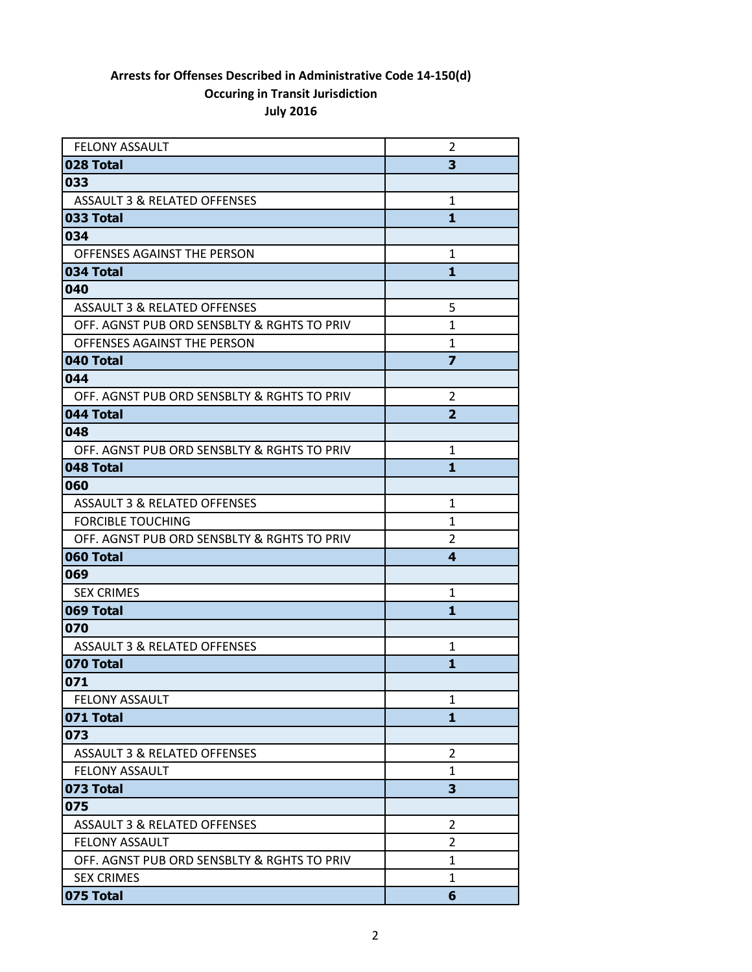| <b>FELONY ASSAULT</b>                       | 2                       |
|---------------------------------------------|-------------------------|
| 028 Total                                   | 3                       |
| 033                                         |                         |
| <b>ASSAULT 3 &amp; RELATED OFFENSES</b>     | $\mathbf{1}$            |
| 033 Total                                   | 1                       |
| 034                                         |                         |
| OFFENSES AGAINST THE PERSON                 | $\mathbf{1}$            |
| 034 Total                                   | 1                       |
| 040                                         |                         |
| ASSAULT 3 & RELATED OFFENSES                | 5                       |
| OFF. AGNST PUB ORD SENSBLTY & RGHTS TO PRIV | 1                       |
| OFFENSES AGAINST THE PERSON                 | 1                       |
| 040 Total                                   | $\overline{\mathbf{z}}$ |
| 044                                         |                         |
| OFF. AGNST PUB ORD SENSBLTY & RGHTS TO PRIV | 2                       |
| 044 Total                                   | $\overline{\mathbf{2}}$ |
| 048                                         |                         |
| OFF. AGNST PUB ORD SENSBLTY & RGHTS TO PRIV | 1                       |
| 048 Total                                   | 1                       |
| 060                                         |                         |
| <b>ASSAULT 3 &amp; RELATED OFFENSES</b>     | 1                       |
| <b>FORCIBLE TOUCHING</b>                    | 1                       |
| OFF. AGNST PUB ORD SENSBLTY & RGHTS TO PRIV | 2                       |
| 060 Total                                   | 4                       |
| 069                                         |                         |
| <b>SEX CRIMES</b>                           | $\mathbf{1}$            |
| 069 Total                                   | 1                       |
| 070                                         |                         |
| ASSAULT 3 & RELATED OFFENSES                | 1                       |
| 070 Total                                   | 1                       |
| 071                                         |                         |
| <b>FELONY ASSAULT</b>                       | 1                       |
| 071 Total                                   | 1                       |
| 073                                         |                         |
| <b>ASSAULT 3 &amp; RELATED OFFENSES</b>     | $\overline{2}$          |
| <b>FELONY ASSAULT</b>                       | 1                       |
| 073 Total                                   | 3                       |
| 075                                         |                         |
| <b>ASSAULT 3 &amp; RELATED OFFENSES</b>     | 2                       |
| <b>FELONY ASSAULT</b>                       | 2                       |
| OFF. AGNST PUB ORD SENSBLTY & RGHTS TO PRIV | $\mathbf{1}$            |
| <b>SEX CRIMES</b>                           | 1                       |
| 075 Total                                   | 6                       |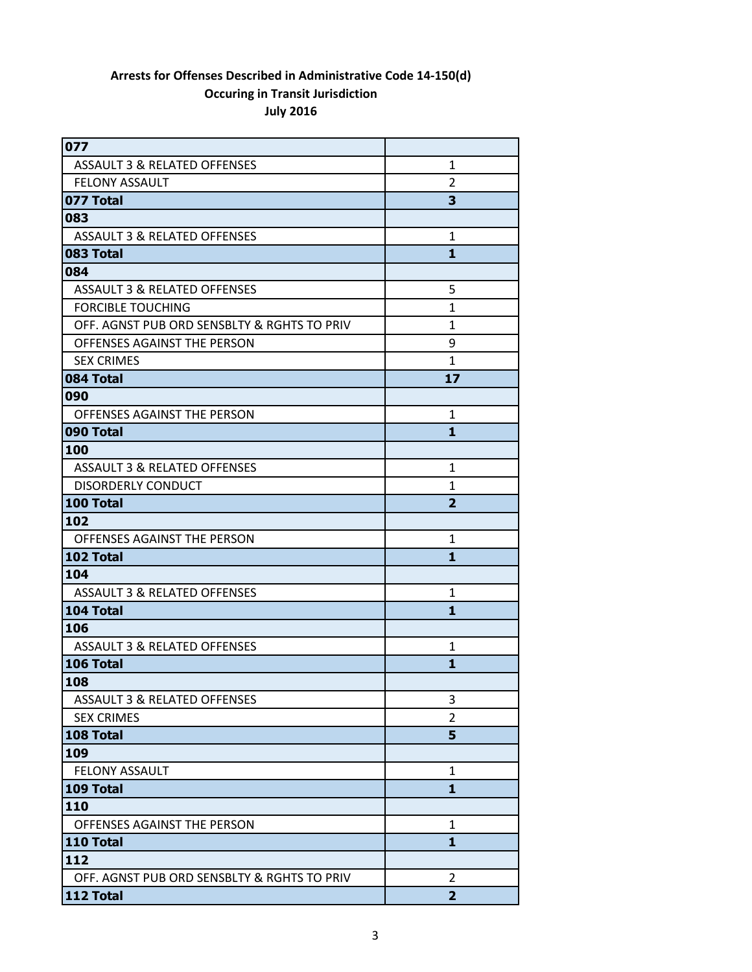| 077                                         |                |
|---------------------------------------------|----------------|
| <b>ASSAULT 3 &amp; RELATED OFFENSES</b>     | $\mathbf{1}$   |
| <b>FELONY ASSAULT</b>                       | 2              |
| 077 Total                                   | 3              |
| 083                                         |                |
| <b>ASSAULT 3 &amp; RELATED OFFENSES</b>     | 1              |
| 083 Total                                   | $\mathbf{1}$   |
| 084                                         |                |
| <b>ASSAULT 3 &amp; RELATED OFFENSES</b>     | 5              |
| <b>FORCIBLE TOUCHING</b>                    | 1              |
| OFF. AGNST PUB ORD SENSBLTY & RGHTS TO PRIV | 1              |
| OFFENSES AGAINST THE PERSON                 | 9              |
| <b>SEX CRIMES</b>                           | 1              |
| 084 Total                                   | 17             |
| 090                                         |                |
| OFFENSES AGAINST THE PERSON                 | 1              |
| 090 Total                                   | 1              |
| 100                                         |                |
| ASSAULT 3 & RELATED OFFENSES                | 1              |
| <b>DISORDERLY CONDUCT</b>                   | 1              |
| 100 Total                                   | $\overline{2}$ |
| 102                                         |                |
| OFFENSES AGAINST THE PERSON                 | 1              |
| 102 Total                                   | $\mathbf{1}$   |
| 104                                         |                |
| ASSAULT 3 & RELATED OFFENSES                | 1              |
| 104 Total                                   | 1              |
| 106                                         |                |
| <b>ASSAULT 3 &amp; RELATED OFFENSES</b>     | 1              |
| 106 Total                                   | 1              |
| 108                                         |                |
| <b>ASSAULT 3 &amp; RELATED OFFENSES</b>     | 3              |
| <b>SEX CRIMES</b>                           | 2              |
| 108 Total                                   | 5              |
| 109                                         |                |
| <b>FELONY ASSAULT</b>                       | 1              |
| 109 Total                                   | $\mathbf{1}$   |
| 110                                         |                |
| OFFENSES AGAINST THE PERSON                 | 1              |
| 110 Total                                   | $\mathbf{1}$   |
| 112                                         |                |
| OFF. AGNST PUB ORD SENSBLTY & RGHTS TO PRIV | 2              |
| 112 Total                                   | $\overline{2}$ |